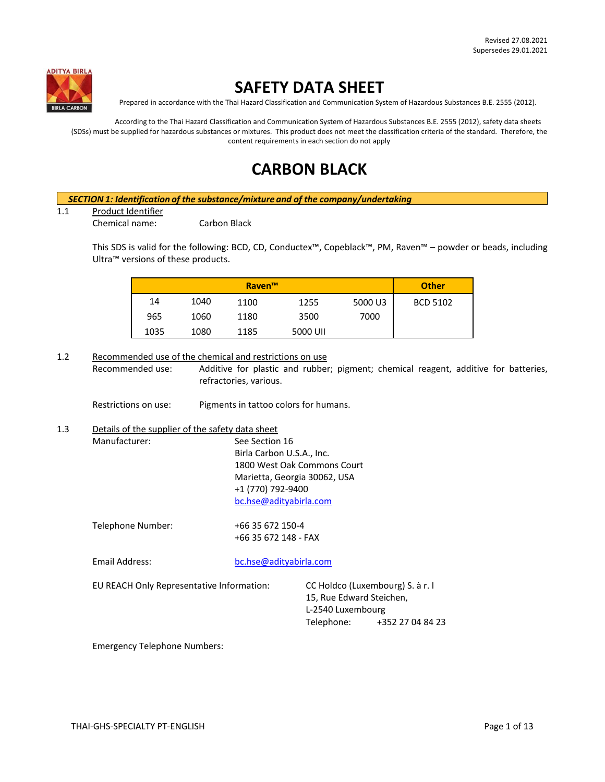

# **SAFETY DATA SHEET**

Prepared in accordance with the Thai Hazard Classification and Communication System of Hazardous Substances B.E. 2555 (2012).

According to the Thai Hazard Classification and Communication System of Hazardous Substances B.E. 2555 (2012), safety data sheets (SDSs) must be supplied for hazardous substances or mixtures. This product does not meet the classification criteria of the standard. Therefore, the content requirements in each section do not apply

# **CARBON BLACK**

# *SECTION 1: Identification of the substance/mixture and of the company/undertaking*

1.1 Product Identifier

Chemical name: Carbon Black

This SDS is valid for the following: BCD, CD, Conductex™, Copeblack™, PM, Raven™ – powder or beads, including Ultra™ versions of these products.

|      |      | <b>Raven™</b> |          |         | <b>Other</b>    |
|------|------|---------------|----------|---------|-----------------|
| 14   | 1040 | 1100          | 1255     | 5000 U3 | <b>BCD 5102</b> |
| 965  | 1060 | 1180          | 3500     | 7000    |                 |
| 1035 | 1080 | 1185          | 5000 UII |         |                 |

1.2 Recommended use of the chemical and restrictions on use

Recommended use: Additive for plastic and rubber; pigment; chemical reagent, additive for batteries, refractories, various.

Restrictions on use: Pigments in tattoo colors for humans.

# 1.3 Details of the supplier of the safety data sheet

Manufacturer: See Section 16 Birla Carbon U.S.A., Inc. 1800 West Oak Commons Court Marietta, Georgia 30062, USA +1 (770) 792-9400 [bc.hse@adityabirla.com](mailto:bc.hse@adityabirla.com)

Telephone Number: +66 35 672 150-4

+66 35 672 148 - FAX

Email Address: [bc.hse@adityabirla.com](mailto:bc.hse@adityabirla.com)

EU REACH Only Representative Information: CC Holdco (Luxembourg) S. à r. l

15, Rue Edward Steichen, L-2540 Luxembourg Telephone: +352 27 04 84 23

Emergency Telephone Numbers: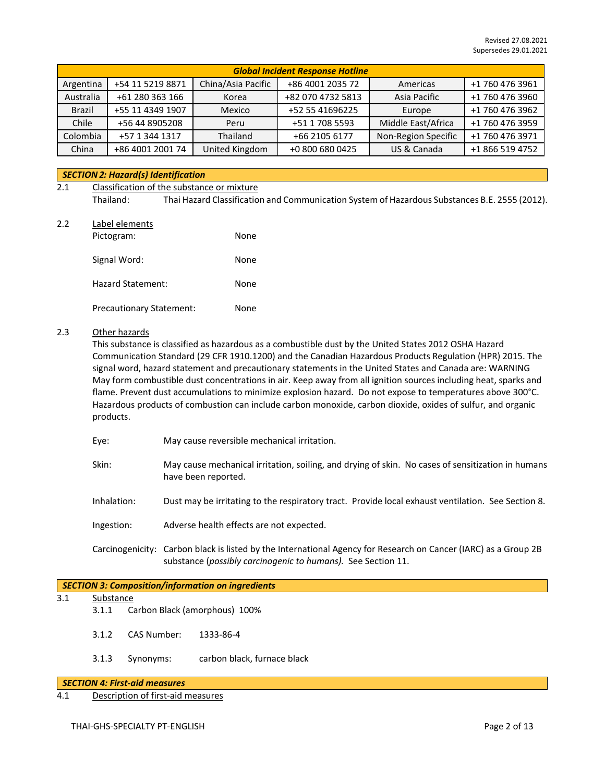|               | <b>Global Incident Response Hotline</b> |                    |                   |                     |                 |  |
|---------------|-----------------------------------------|--------------------|-------------------|---------------------|-----------------|--|
| Argentina     | +54 11 5219 8871                        | China/Asia Pacific | +86 4001 2035 72  | Americas            | +1 760 476 3961 |  |
| Australia     | +61 280 363 166                         | Korea              | +82 070 4732 5813 | Asia Pacific        | +1 760 476 3960 |  |
| <b>Brazil</b> | +55 11 4349 1907                        | Mexico             | +52 55 41696225   | Europe              | +1 760 476 3962 |  |
| Chile         | +56 44 8905208                          | Peru               | +51 1 708 5593    | Middle East/Africa  | +1 760 476 3959 |  |
| Colombia      | +57 1 344 1317                          | Thailand           | +66 2105 6177     | Non-Region Specific | +1 760 476 3971 |  |
| China         | +86 4001 2001 74                        | United Kingdom     | +0 800 680 0425   | US & Canada         | +1 866 519 4752 |  |

## *SECTION 2: Hazard(s) Identification*

# 2.1 Classification of the substance or mixture Thailand: Thai Hazard Classification and Communication System of Hazardous Substances B.E. 2555 (2012).

2.2 Label elements

| Pictogram:                      | None |
|---------------------------------|------|
| Signal Word:                    | None |
| <b>Hazard Statement:</b>        | None |
| <b>Precautionary Statement:</b> | None |

## 2.3 Other hazards

This substance is classified as hazardous as a combustible dust by the United States 2012 OSHA Hazard Communication Standard (29 CFR 1910.1200) and the Canadian Hazardous Products Regulation (HPR) 2015. The signal word, hazard statement and precautionary statements in the United States and Canada are: WARNING May form combustible dust concentrations in air. Keep away from all ignition sources including heat, sparks and flame. Prevent dust accumulations to minimize explosion hazard. Do not expose to temperatures above 300°C. Hazardous products of combustion can include carbon monoxide, carbon dioxide, oxides of sulfur, and organic products.

- Eye: May cause reversible mechanical irritation.
- Skin: May cause mechanical irritation, soiling, and drying of skin. No cases of sensitization in humans have been reported.
- Inhalation: Dust may be irritating to the respiratory tract. Provide local exhaust ventilation. See Section 8.
- Ingestion: Adverse health effects are not expected.
- Carcinogenicity: Carbon black is listed by the International Agency for Research on Cancer (IARC) as a Group 2B substance (*possibly carcinogenic to humans).* See Section 11.

#### *SECTION 3: Composition/information on ingredients*

## 3.1 Substance

- 3.1.1 Carbon Black (amorphous) 100%
- 3.1.2 CAS Number: 1333-86-4
- 3.1.3 Synonyms: carbon black, furnace black

#### *SECTION 4: First-aid measures*

4.1 Description of first-aid measures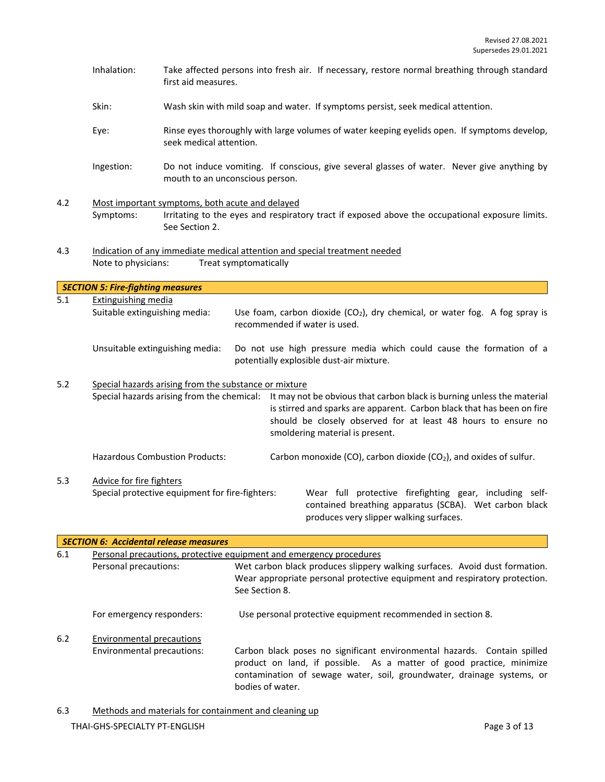- Inhalation: Take affected persons into fresh air. If necessary, restore normal breathing through standard first aid measures.
- Skin: Wash skin with mild soap and water. If symptoms persist, seek medical attention.
- Eye: Rinse eyes thoroughly with large volumes of water keeping eyelids open. If symptoms develop, seek medical attention.
- Ingestion: Do not induce vomiting. If conscious, give several glasses of water. Never give anything by mouth to an unconscious person.
- 4.2 Most important symptoms, both acute and delayed<br>Symptoms: Irritating to the eyes and respirat Irritating to the eyes and respiratory tract if exposed above the occupational exposure limits. See Section 2.
- 4.3 Indication of any immediate medical attention and special treatment needed Note to physicians: Treat symptomatically

|     | <b>SECTION 5: Fire-fighting measures</b>             |                                                       |                                                                                                                                                                                                                                                      |  |  |
|-----|------------------------------------------------------|-------------------------------------------------------|------------------------------------------------------------------------------------------------------------------------------------------------------------------------------------------------------------------------------------------------------|--|--|
| 5.1 | Extinguishing media<br>Suitable extinguishing media: |                                                       | Use foam, carbon dioxide $(CO_2)$ , dry chemical, or water fog. A fog spray is<br>recommended if water is used.                                                                                                                                      |  |  |
|     | Unsuitable extinguishing media:                      |                                                       | Do not use high pressure media which could cause the formation of a<br>potentially explosible dust-air mixture.                                                                                                                                      |  |  |
| 5.2 |                                                      | Special hazards arising from the substance or mixture |                                                                                                                                                                                                                                                      |  |  |
|     | Special hazards arising from the chemical:           |                                                       | It may not be obvious that carbon black is burning unless the material<br>is stirred and sparks are apparent. Carbon black that has been on fire<br>should be closely observed for at least 48 hours to ensure no<br>smoldering material is present. |  |  |
|     | <b>Hazardous Combustion Products:</b>                |                                                       | Carbon monoxide (CO), carbon dioxide (CO <sub>2</sub> ), and oxides of sulfur.                                                                                                                                                                       |  |  |
| 5.3 | Advice for fire fighters                             |                                                       |                                                                                                                                                                                                                                                      |  |  |
|     | Special protective equipment for fire-fighters:      |                                                       | Wear full protective firefighting gear, including self-<br>contained breathing apparatus (SCBA). Wet carbon black<br>produces very slipper walking surfaces.                                                                                         |  |  |

|     | <b>SECTION 6: Accidental release measures</b>                       |                                                                                                                                                                                                                                                |  |  |
|-----|---------------------------------------------------------------------|------------------------------------------------------------------------------------------------------------------------------------------------------------------------------------------------------------------------------------------------|--|--|
| 6.1 | Personal precautions, protective equipment and emergency procedures |                                                                                                                                                                                                                                                |  |  |
|     | Personal precautions:                                               | Wet carbon black produces slippery walking surfaces. Avoid dust formation.<br>Wear appropriate personal protective equipment and respiratory protection.<br>See Section 8.                                                                     |  |  |
|     | For emergency responders:                                           | Use personal protective equipment recommended in section 8.                                                                                                                                                                                    |  |  |
| 6.2 | Environmental precautions<br>Environmental precautions:             | Carbon black poses no significant environmental hazards. Contain spilled<br>product on land, if possible. As a matter of good practice, minimize<br>contamination of sewage water, soil, groundwater, drainage systems, or<br>bodies of water. |  |  |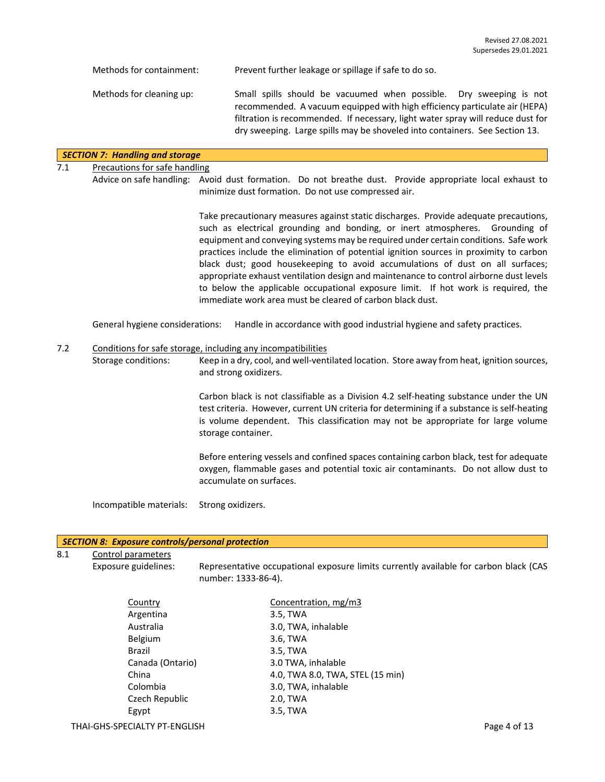| Methods for containment: | Prevent further leakage or spillage if safe to do so.                                                                                                                                                                                                                                                              |
|--------------------------|--------------------------------------------------------------------------------------------------------------------------------------------------------------------------------------------------------------------------------------------------------------------------------------------------------------------|
| Methods for cleaning up: | Small spills should be vacuumed when possible. Dry sweeping is not<br>recommended. A vacuum equipped with high efficiency particulate air (HEPA)<br>filtration is recommended. If necessary, light water spray will reduce dust for<br>dry sweeping. Large spills may be shoveled into containers. See Section 13. |
|                          |                                                                                                                                                                                                                                                                                                                    |

## *SECTION 7: Handling and storage*

## 7.1 Precautions for safe handling

Advice on safe handling: Avoid dust formation. Do not breathe dust. Provide appropriate local exhaust to minimize dust formation. Do not use compressed air.

> Take precautionary measures against static discharges. Provide adequate precautions, such as electrical grounding and bonding, or inert atmospheres. Grounding of equipment and conveying systems may be required under certain conditions. Safe work practices include the elimination of potential ignition sources in proximity to carbon black dust; good housekeeping to avoid accumulations of dust on all surfaces; appropriate exhaust ventilation design and maintenance to control airborne dust levels to below the applicable occupational exposure limit. If hot work is required, the immediate work area must be cleared of carbon black dust.

General hygiene considerations: Handle in accordance with good industrial hygiene and safety practices.

#### 7.2 Conditions for safe storage, including any incompatibilities

Storage conditions: Keep in a dry, cool, and well-ventilated location. Store away from heat, ignition sources, and strong oxidizers.

> Carbon black is not classifiable as a Division 4.2 self-heating substance under the UN test criteria. However, current UN criteria for determining if a substance is self-heating is volume dependent. This classification may not be appropriate for large volume storage container.

> Before entering vessels and confined spaces containing carbon black, test for adequate oxygen, flammable gases and potential toxic air contaminants. Do not allow dust to accumulate on surfaces.

Incompatible materials: Strong oxidizers.

#### *SECTION 8: Exposure controls/personal protection*

8.1 Control parameters

Exposure guidelines: Representative occupational exposure limits currently available for carbon black (CAS number: 1333-86-4).

| Country          | Concentration, mg/m3             |
|------------------|----------------------------------|
| Argentina        | 3.5, TWA                         |
| Australia        | 3.0, TWA, inhalable              |
| <b>Belgium</b>   | 3.6, TWA                         |
| <b>Brazil</b>    | 3.5, TWA                         |
| Canada (Ontario) | 3.0 TWA, inhalable               |
| China            | 4.0, TWA 8.0, TWA, STEL (15 min) |
| Colombia         | 3.0, TWA, inhalable              |
| Czech Republic   | 2.0, TWA                         |
| Egypt            | 3.5, TWA                         |
|                  |                                  |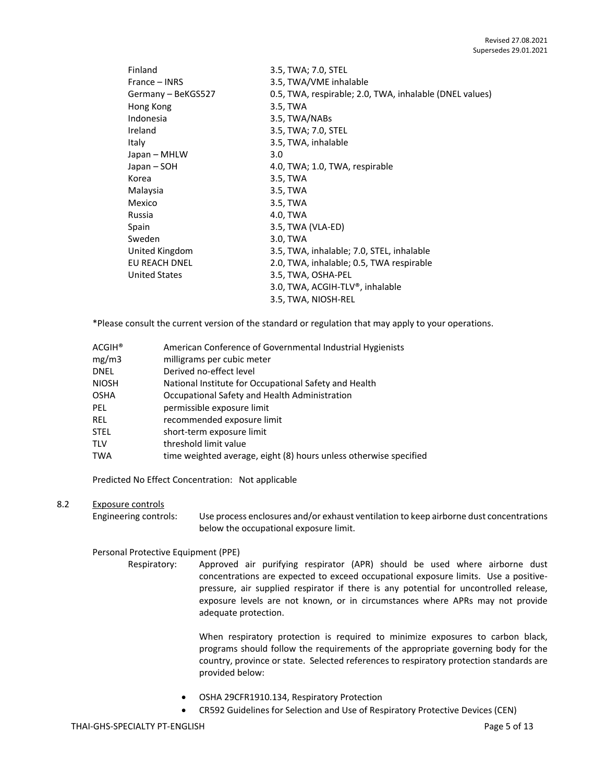| Finland              | 3.5, TWA; 7.0, STEL                                     |
|----------------------|---------------------------------------------------------|
| France – INRS        | 3.5, TWA/VME inhalable                                  |
| Germany - BeKGS527   | 0.5, TWA, respirable; 2.0, TWA, inhalable (DNEL values) |
| Hong Kong            | 3.5, TWA                                                |
| Indonesia            | 3.5, TWA/NABs                                           |
| Ireland              | 3.5, TWA; 7.0, STEL                                     |
| Italy                | 3.5, TWA, inhalable                                     |
| Japan – MHLW         | 3.0                                                     |
| Japan – SOH          | 4.0, TWA; 1.0, TWA, respirable                          |
| Korea                | 3.5, TWA                                                |
| Malaysia             | 3.5, TWA                                                |
| Mexico               | 3.5, TWA                                                |
| Russia               | 4.0, TWA                                                |
| Spain                | 3.5, TWA (VLA-ED)                                       |
| Sweden               | 3.0, TWA                                                |
| United Kingdom       | 3.5, TWA, inhalable; 7.0, STEL, inhalable               |
| EU REACH DNEL        | 2.0, TWA, inhalable; 0.5, TWA respirable                |
| <b>United States</b> | 3.5, TWA, OSHA-PEL                                      |
|                      | 3.0, TWA, ACGIH-TLV®, inhalable                         |
|                      | 3.5, TWA, NIOSH-REL                                     |

\*Please consult the current version of the standard or regulation that may apply to your operations.

| <b>ACGIH®</b> | American Conference of Governmental Industrial Hygienists         |
|---------------|-------------------------------------------------------------------|
| mg/m3         | milligrams per cubic meter                                        |
| <b>DNEL</b>   | Derived no-effect level                                           |
| <b>NIOSH</b>  | National Institute for Occupational Safety and Health             |
| <b>OSHA</b>   | Occupational Safety and Health Administration                     |
| PEL.          | permissible exposure limit                                        |
| <b>REL</b>    | recommended exposure limit                                        |
| <b>STEL</b>   | short-term exposure limit                                         |
| <b>TLV</b>    | threshold limit value                                             |
| <b>TWA</b>    | time weighted average, eight (8) hours unless otherwise specified |
|               |                                                                   |

Predicted No Effect Concentration: Not applicable

## 8.2 Exposure controls

Engineering controls: Use process enclosures and/or exhaust ventilation to keep airborne dust concentrations below the occupational exposure limit.

## Personal Protective Equipment (PPE)

Respiratory: Approved air purifying respirator (APR) should be used where airborne dust concentrations are expected to exceed occupational exposure limits. Use a positivepressure, air supplied respirator if there is any potential for uncontrolled release, exposure levels are not known, or in circumstances where APRs may not provide adequate protection.

> When respiratory protection is required to minimize exposures to carbon black, programs should follow the requirements of the appropriate governing body for the country, province or state. Selected references to respiratory protection standards are provided below:

- OSHA 29CFR1910.134, Respiratory Protection
- CR592 Guidelines for Selection and Use of Respiratory Protective Devices (CEN)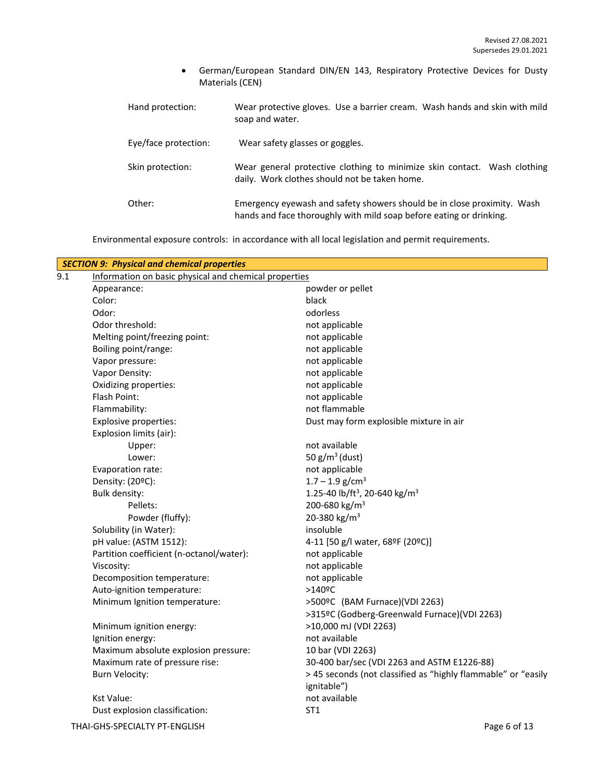• German/European Standard DIN/EN 143, Respiratory Protective Devices for Dusty Materials (CEN)

| Hand protection:     | Wear protective gloves. Use a barrier cream. Wash hands and skin with mild<br>soap and water.                                                  |
|----------------------|------------------------------------------------------------------------------------------------------------------------------------------------|
| Eye/face protection: | Wear safety glasses or goggles.                                                                                                                |
| Skin protection:     | Wear general protective clothing to minimize skin contact. Wash clothing<br>daily. Work clothes should not be taken home.                      |
| Other:               | Emergency eyewash and safety showers should be in close proximity. Wash<br>hands and face thoroughly with mild soap before eating or drinking. |

Environmental exposure controls: in accordance with all local legislation and permit requirements.

|     | <b>SECTION 9: Physical and chemical properties</b> |                                                               |  |  |  |
|-----|----------------------------------------------------|---------------------------------------------------------------|--|--|--|
| 9.1 |                                                    | Information on basic physical and chemical properties         |  |  |  |
|     | Appearance:                                        | powder or pellet                                              |  |  |  |
|     | Color:                                             | black                                                         |  |  |  |
|     | Odor:                                              | odorless                                                      |  |  |  |
|     | Odor threshold:                                    | not applicable                                                |  |  |  |
|     | Melting point/freezing point:                      | not applicable                                                |  |  |  |
|     | Boiling point/range:                               | not applicable                                                |  |  |  |
|     | Vapor pressure:                                    | not applicable                                                |  |  |  |
|     | Vapor Density:                                     | not applicable                                                |  |  |  |
|     | Oxidizing properties:                              | not applicable                                                |  |  |  |
|     | Flash Point:                                       | not applicable                                                |  |  |  |
|     | Flammability:                                      | not flammable                                                 |  |  |  |
|     | <b>Explosive properties:</b>                       | Dust may form explosible mixture in air                       |  |  |  |
|     | Explosion limits (air):                            |                                                               |  |  |  |
|     | Upper:                                             | not available                                                 |  |  |  |
|     | Lower:                                             | 50 $g/m^3$ (dust)                                             |  |  |  |
|     | Evaporation rate:                                  | not applicable                                                |  |  |  |
|     | Density: (20ºC):                                   | $1.7 - 1.9$ g/cm <sup>3</sup>                                 |  |  |  |
|     | <b>Bulk density:</b>                               | 1.25-40 lb/ft <sup>3</sup> , 20-640 kg/m <sup>3</sup>         |  |  |  |
|     | Pellets:                                           | 200-680 kg/m <sup>3</sup>                                     |  |  |  |
|     | Powder (fluffy):                                   | 20-380 kg/m <sup>3</sup>                                      |  |  |  |
|     | Solubility (in Water):                             | insoluble                                                     |  |  |  |
|     | pH value: (ASTM 1512):                             | 4-11 [50 g/l water, 68ºF (20ºC)]                              |  |  |  |
|     | Partition coefficient (n-octanol/water):           | not applicable                                                |  |  |  |
|     | Viscosity:                                         | not applicable                                                |  |  |  |
|     | Decomposition temperature:                         | not applicable                                                |  |  |  |
|     | Auto-ignition temperature:                         | $>140$ <sup>o</sup> C                                         |  |  |  |
|     | Minimum Ignition temperature:                      | >500°C (BAM Furnace)(VDI 2263)                                |  |  |  |
|     |                                                    | >315ºC (Godberg-Greenwald Furnace)(VDI 2263)                  |  |  |  |
|     | Minimum ignition energy:                           | >10,000 mJ (VDI 2263)                                         |  |  |  |
|     | Ignition energy:                                   | not available                                                 |  |  |  |
|     | Maximum absolute explosion pressure:               | 10 bar (VDI 2263)                                             |  |  |  |
|     | Maximum rate of pressure rise:                     | 30-400 bar/sec (VDI 2263 and ASTM E1226-88)                   |  |  |  |
|     | <b>Burn Velocity:</b>                              | > 45 seconds (not classified as "highly flammable" or "easily |  |  |  |
|     |                                                    | ignitable")                                                   |  |  |  |
|     | <b>Kst Value:</b>                                  | not available                                                 |  |  |  |
|     | Dust explosion classification:                     | ST <sub>1</sub>                                               |  |  |  |
|     | THAI-GHS-SPECIALTY PT-ENGLISH                      | Page 6 of 13                                                  |  |  |  |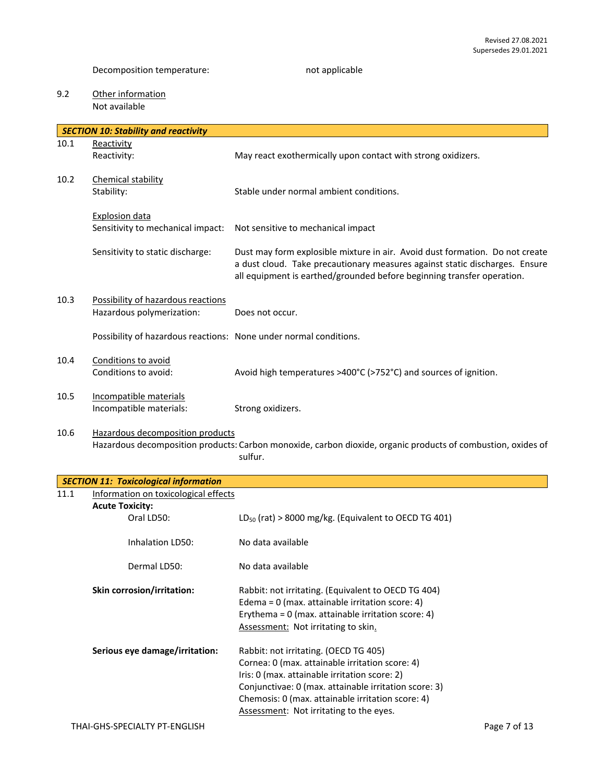# 9.2 Other information Not available

|      | <b>SECTION 10: Stability and reactivity</b>                       |                                                                                                                                                                                                                                       |
|------|-------------------------------------------------------------------|---------------------------------------------------------------------------------------------------------------------------------------------------------------------------------------------------------------------------------------|
| 10.1 | Reactivity                                                        |                                                                                                                                                                                                                                       |
|      | Reactivity:                                                       | May react exothermically upon contact with strong oxidizers.                                                                                                                                                                          |
|      |                                                                   |                                                                                                                                                                                                                                       |
| 10.2 | Chemical stability                                                |                                                                                                                                                                                                                                       |
|      | Stability:                                                        | Stable under normal ambient conditions.                                                                                                                                                                                               |
|      |                                                                   |                                                                                                                                                                                                                                       |
|      | <b>Explosion data</b><br>Sensitivity to mechanical impact:        | Not sensitive to mechanical impact                                                                                                                                                                                                    |
|      |                                                                   |                                                                                                                                                                                                                                       |
|      | Sensitivity to static discharge:                                  | Dust may form explosible mixture in air. Avoid dust formation. Do not create<br>a dust cloud. Take precautionary measures against static discharges. Ensure<br>all equipment is earthed/grounded before beginning transfer operation. |
| 10.3 | Possibility of hazardous reactions                                |                                                                                                                                                                                                                                       |
|      | Hazardous polymerization:                                         | Does not occur.                                                                                                                                                                                                                       |
|      |                                                                   |                                                                                                                                                                                                                                       |
|      | Possibility of hazardous reactions: None under normal conditions. |                                                                                                                                                                                                                                       |
|      |                                                                   |                                                                                                                                                                                                                                       |
| 10.4 | Conditions to avoid<br>Conditions to avoid:                       |                                                                                                                                                                                                                                       |
|      |                                                                   | Avoid high temperatures >400°C (>752°C) and sources of ignition.                                                                                                                                                                      |
| 10.5 | Incompatible materials                                            |                                                                                                                                                                                                                                       |
|      | Incompatible materials:                                           | Strong oxidizers.                                                                                                                                                                                                                     |
|      |                                                                   |                                                                                                                                                                                                                                       |
| 10.6 | Hazardous decomposition products                                  | Hazardous decomposition products: Carbon monoxide, carbon dioxide, organic products of combustion, oxides of                                                                                                                          |
|      |                                                                   | sulfur.                                                                                                                                                                                                                               |
|      |                                                                   |                                                                                                                                                                                                                                       |
|      | <b>SECTION 11: Toxicological information</b>                      |                                                                                                                                                                                                                                       |
| 11.1 | Information on toxicological effects                              |                                                                                                                                                                                                                                       |
|      | <b>Acute Toxicity:</b>                                            |                                                                                                                                                                                                                                       |
|      | Oral LD50:                                                        | $LD_{50}$ (rat) > 8000 mg/kg. (Equivalent to OECD TG 401)                                                                                                                                                                             |
|      |                                                                   |                                                                                                                                                                                                                                       |
|      | Inhalation LD50:                                                  | No data available                                                                                                                                                                                                                     |
|      | Dermal LD50:                                                      | No data available                                                                                                                                                                                                                     |
|      | Skin corrosion/irritation:                                        | Rabbit: not irritating. (Equivalent to OECD TG 404)                                                                                                                                                                                   |
|      |                                                                   | Edema = $0$ (max. attainable irritation score: 4)                                                                                                                                                                                     |
|      |                                                                   | Erythema = $0$ (max. attainable irritation score: 4)                                                                                                                                                                                  |
|      |                                                                   | Assessment: Not irritating to skin.                                                                                                                                                                                                   |
|      |                                                                   |                                                                                                                                                                                                                                       |
|      | Serious eye damage/irritation:                                    | Rabbit: not irritating. (OECD TG 405)                                                                                                                                                                                                 |
|      |                                                                   | Cornea: 0 (max. attainable irritation score: 4)                                                                                                                                                                                       |
|      |                                                                   | Iris: 0 (max. attainable irritation score: 2)                                                                                                                                                                                         |
|      |                                                                   | Conjunctivae: 0 (max. attainable irritation score: 3)                                                                                                                                                                                 |
|      |                                                                   | Chemosis: 0 (max. attainable irritation score: 4)                                                                                                                                                                                     |
|      |                                                                   | Assessment: Not irritating to the eyes.                                                                                                                                                                                               |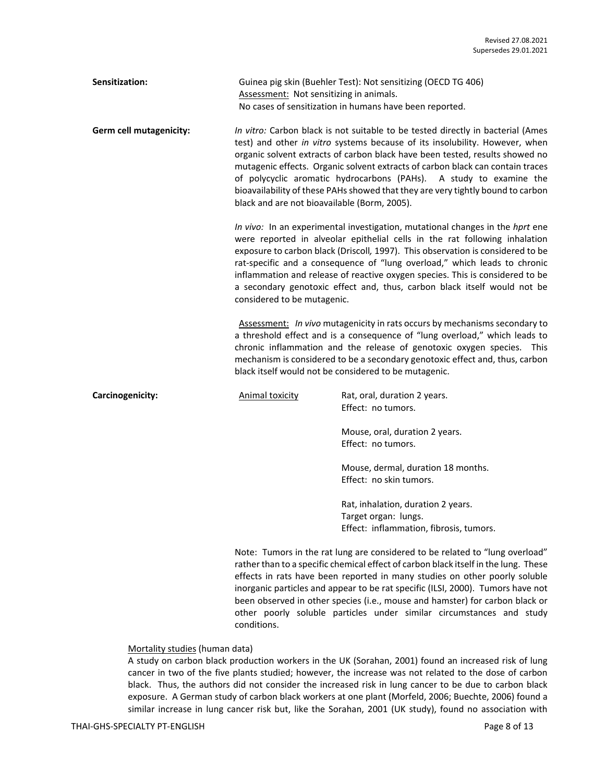| Sensitization:          | Assessment: Not sensitizing in animals.                                                                                                                                                                                                                                                                                                                                                                                                                                                                                                   | Guinea pig skin (Buehler Test): Not sensitizing (OECD TG 406)<br>No cases of sensitization in humans have been reported. |  |  |
|-------------------------|-------------------------------------------------------------------------------------------------------------------------------------------------------------------------------------------------------------------------------------------------------------------------------------------------------------------------------------------------------------------------------------------------------------------------------------------------------------------------------------------------------------------------------------------|--------------------------------------------------------------------------------------------------------------------------|--|--|
| Germ cell mutagenicity: | In vitro: Carbon black is not suitable to be tested directly in bacterial (Ames<br>test) and other in vitro systems because of its insolubility. However, when<br>organic solvent extracts of carbon black have been tested, results showed no<br>mutagenic effects. Organic solvent extracts of carbon black can contain traces<br>of polycyclic aromatic hydrocarbons (PAHs). A study to examine the<br>bioavailability of these PAHs showed that they are very tightly bound to carbon<br>black and are not bioavailable (Borm, 2005). |                                                                                                                          |  |  |
|                         | In vivo: In an experimental investigation, mutational changes in the hprt ene<br>were reported in alveolar epithelial cells in the rat following inhalation<br>exposure to carbon black (Driscoll, 1997). This observation is considered to be<br>rat-specific and a consequence of "lung overload," which leads to chronic<br>inflammation and release of reactive oxygen species. This is considered to be<br>a secondary genotoxic effect and, thus, carbon black itself would not be<br>considered to be mutagenic.                   |                                                                                                                          |  |  |
|                         | Assessment: In vivo mutagenicity in rats occurs by mechanisms secondary to<br>a threshold effect and is a consequence of "lung overload," which leads to<br>chronic inflammation and the release of genotoxic oxygen species. This<br>mechanism is considered to be a secondary genotoxic effect and, thus, carbon<br>black itself would not be considered to be mutagenic.                                                                                                                                                               |                                                                                                                          |  |  |
| Carcinogenicity:        | <b>Animal toxicity</b>                                                                                                                                                                                                                                                                                                                                                                                                                                                                                                                    | Rat, oral, duration 2 years.<br>Effect: no tumors.                                                                       |  |  |
|                         |                                                                                                                                                                                                                                                                                                                                                                                                                                                                                                                                           | Mouse, oral, duration 2 years.<br>Effect: no tumors.                                                                     |  |  |
|                         |                                                                                                                                                                                                                                                                                                                                                                                                                                                                                                                                           | Mouse, dermal, duration 18 months.<br>Effect: no skin tumors.                                                            |  |  |
|                         |                                                                                                                                                                                                                                                                                                                                                                                                                                                                                                                                           | Rat, inhalation, duration 2 years.<br>Target organ: lungs.<br>Effect: inflammation, fibrosis, tumors.                    |  |  |
|                         | Note: Tumors in the rat lung are considered to be related to "lung overload"<br>rather than to a specific chemical effect of carbon black itself in the lung. These<br>effects in rats have been reported in many studies on other poorly soluble<br>inorganic particles and appear to be rat specific (ILSI, 2000). Tumors have not<br>been observed in other species (i.e., mouse and hamster) for carbon black or<br>other poorly soluble particles under similar circumstances and study                                              |                                                                                                                          |  |  |

#### Mortality studies (human data)

conditions.

A study on carbon black production workers in the UK (Sorahan, 2001) found an increased risk of lung cancer in two of the five plants studied; however, the increase was not related to the dose of carbon black. Thus, the authors did not consider the increased risk in lung cancer to be due to carbon black exposure. A German study of carbon black workers at one plant (Morfeld, 2006; Buechte, 2006) found a similar increase in lung cancer risk but, like the Sorahan, 2001 (UK study), found no association with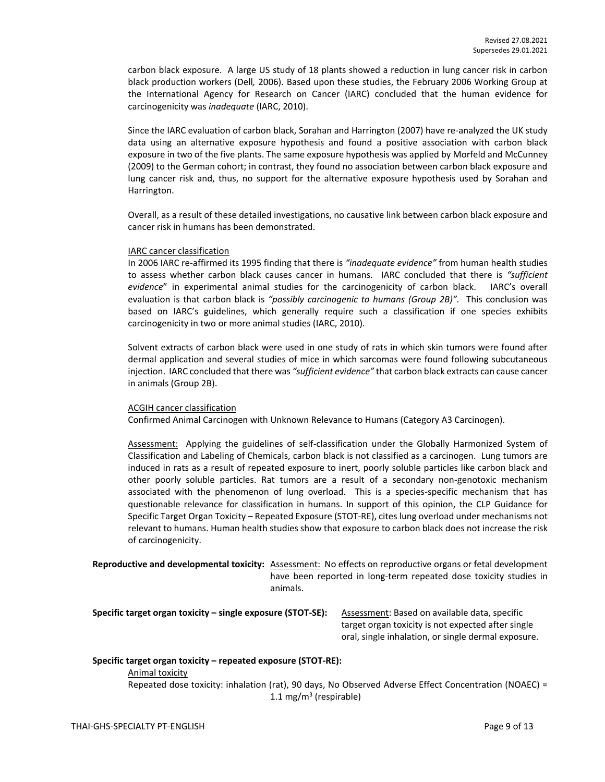carbon black exposure. A large US study of 18 plants showed a reduction in lung cancer risk in carbon black production workers (Dell*,* 2006). Based upon these studies, the February 2006 Working Group at the International Agency for Research on Cancer (IARC) concluded that the human evidence for carcinogenicity was *inadequate* (IARC, 2010).

Since the IARC evaluation of carbon black, Sorahan and Harrington (2007) have re-analyzed the UK study data using an alternative exposure hypothesis and found a positive association with carbon black exposure in two of the five plants. The same exposure hypothesis was applied by Morfeld and McCunney (2009) to the German cohort; in contrast, they found no association between carbon black exposure and lung cancer risk and, thus, no support for the alternative exposure hypothesis used by Sorahan and Harrington.

Overall, as a result of these detailed investigations, no causative link between carbon black exposure and cancer risk in humans has been demonstrated.

#### IARC cancer classification

In 2006 IARC re-affirmed its 1995 finding that there is *"inadequate evidence"* from human health studies to assess whether carbon black causes cancer in humans. IARC concluded that there is *"sufficient evidence*" in experimental animal studies for the carcinogenicity of carbon black. IARC's overall evaluation is that carbon black is *"possibly carcinogenic to humans (Group 2B)".* This conclusion was based on IARC's guidelines, which generally require such a classification if one species exhibits carcinogenicity in two or more animal studies (IARC, 2010).

Solvent extracts of carbon black were used in one study of rats in which skin tumors were found after dermal application and several studies of mice in which sarcomas were found following subcutaneous injection. IARC concluded that there was *"sufficient evidence"* that carbon black extracts can cause cancer in animals (Group 2B).

#### ACGIH cancer classification

Confirmed Animal Carcinogen with Unknown Relevance to Humans (Category A3 Carcinogen).

Assessment: Applying the guidelines of self-classification under the Globally Harmonized System of Classification and Labeling of Chemicals, carbon black is not classified as a carcinogen. Lung tumors are induced in rats as a result of repeated exposure to inert, poorly soluble particles like carbon black and other poorly soluble particles. Rat tumors are a result of a secondary non-genotoxic mechanism associated with the phenomenon of lung overload. This is a species-specific mechanism that has questionable relevance for classification in humans. In support of this opinion, the CLP Guidance for Specific Target Organ Toxicity – Repeated Exposure (STOT-RE), cites lung overload under mechanisms not relevant to humans. Human health studies show that exposure to carbon black does not increase the risk of carcinogenicity.

**Reproductive and developmental toxicity:** Assessment: No effects on reproductive organs or fetal development have been reported in long-term repeated dose toxicity studies in animals.

**Specific target organ toxicity – single exposure (STOT-SE):** Assessment: Based on available data, specific

target organ toxicity is not expected after single oral, single inhalation, or single dermal exposure.

#### **Specific target organ toxicity – repeated exposure (STOT-RE):**  Animal toxicity

Repeated dose toxicity: inhalation (rat), 90 days, No Observed Adverse Effect Concentration (NOAEC) = 1.1 mg/m<sup>3</sup> (respirable)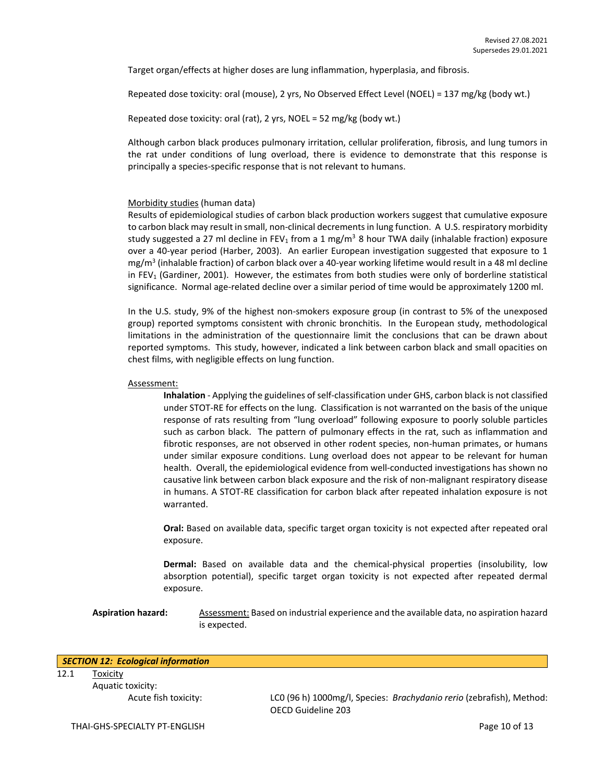Target organ/effects at higher doses are lung inflammation, hyperplasia, and fibrosis.

Repeated dose toxicity: oral (mouse), 2 yrs, No Observed Effect Level (NOEL) = 137 mg/kg (body wt.)

Repeated dose toxicity: oral (rat), 2 yrs, NOEL = 52 mg/kg (body wt.)

Although carbon black produces pulmonary irritation, cellular proliferation, fibrosis, and lung tumors in the rat under conditions of lung overload, there is evidence to demonstrate that this response is principally a species-specific response that is not relevant to humans.

## Morbidity studies (human data)

Results of epidemiological studies of carbon black production workers suggest that cumulative exposure to carbon black may result in small, non-clinical decrements in lung function. A U.S. respiratory morbidity study suggested a 27 ml decline in FEV<sub>1</sub> from a 1 mg/m<sup>3</sup> 8 hour TWA daily (inhalable fraction) exposure over a 40-year period (Harber, 2003). An earlier European investigation suggested that exposure to 1 mg/m<sup>3</sup> (inhalable fraction) of carbon black over a 40-year working lifetime would result in a 48 ml decline in FEV<sup>1</sup> (Gardiner, 2001). However, the estimates from both studies were only of borderline statistical significance. Normal age-related decline over a similar period of time would be approximately 1200 ml.

In the U.S. study, 9% of the highest non-smokers exposure group (in contrast to 5% of the unexposed group) reported symptoms consistent with chronic bronchitis. In the European study, methodological limitations in the administration of the questionnaire limit the conclusions that can be drawn about reported symptoms. This study, however, indicated a link between carbon black and small opacities on chest films, with negligible effects on lung function.

#### Assessment:

**Inhalation** - Applying the guidelines of self-classification under GHS, carbon black is not classified under STOT-RE for effects on the lung. Classification is not warranted on the basis of the unique response of rats resulting from "lung overload" following exposure to poorly soluble particles such as carbon black. The pattern of pulmonary effects in the rat, such as inflammation and fibrotic responses, are not observed in other rodent species, non-human primates, or humans under similar exposure conditions. Lung overload does not appear to be relevant for human health. Overall, the epidemiological evidence from well-conducted investigations has shown no causative link between carbon black exposure and the risk of non-malignant respiratory disease in humans. A STOT-RE classification for carbon black after repeated inhalation exposure is not warranted.

**Oral:** Based on available data, specific target organ toxicity is not expected after repeated oral exposure.

**Dermal:** Based on available data and the chemical-physical properties (insolubility, low absorption potential), specific target organ toxicity is not expected after repeated dermal exposure.

**Aspiration hazard:** Assessment: Based on industrial experience and the available data, no aspiration hazard is expected.

#### *SECTION 12: Ecological information*

12.1 Toxicity Aquatic toxicity:

Acute fish toxicity: LC0 (96 h) 1000mg/l, Species: *Brachydanio rerio* (zebrafish), Method: OECD Guideline 203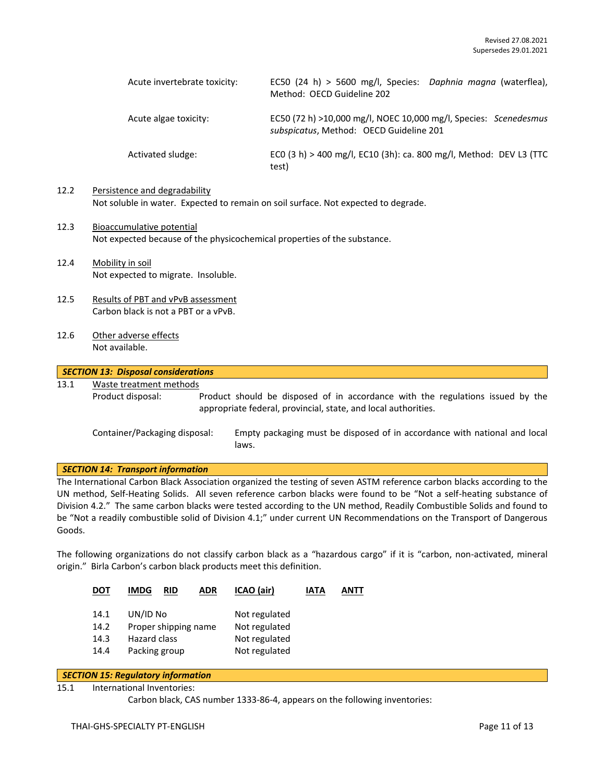| Acute invertebrate toxicity: | EC50 (24 h) > 5600 mg/l, Species: Daphnia magna (waterflea),<br>Method: OECD Guideline 202                  |
|------------------------------|-------------------------------------------------------------------------------------------------------------|
| Acute algae toxicity:        | EC50 (72 h) >10,000 mg/l, NOEC 10,000 mg/l, Species: Scenedesmus<br>subspicatus, Method: OECD Guideline 201 |
| Activated sludge:            | ECO (3 h) > 400 mg/l, EC10 (3h): ca. 800 mg/l, Method: DEV L3 (TTC<br>test)                                 |

# 12.2 Persistence and degradability Not soluble in water. Expected to remain on soil surface. Not expected to degrade.

- 12.3 Bioaccumulative potential Not expected because of the physicochemical properties of the substance.
- 12.4 Mobility in soil Not expected to migrate. Insoluble.
- 12.5 Results of PBT and vPvB assessment Carbon black is not a PBT or a vPvB.
- 12.6 Other adverse effects Not available.

## *SECTION 13: Disposal considerations*

# 13.1 Waste treatment methods

Product disposal: Product should be disposed of in accordance with the regulations issued by the appropriate federal, provincial, state, and local authorities.

Container/Packaging disposal: Empty packaging must be disposed of in accordance with national and local laws.

## *SECTION 14: Transport information*

The International Carbon Black Association organized the testing of seven ASTM reference carbon blacks according to the UN method, Self-Heating Solids. All seven reference carbon blacks were found to be "Not a self-heating substance of Division 4.2." The same carbon blacks were tested according to the UN method, Readily Combustible Solids and found to be "Not a readily combustible solid of Division 4.1;" under current UN Recommendations on the Transport of Dangerous Goods.

The following organizations do not classify carbon black as a "hazardous cargo" if it is "carbon, non-activated, mineral origin." Birla Carbon's carbon black products meet this definition.

| <b>DOT</b> | <b>IMDG</b><br><b>RID</b><br>ADR | ICAO (air)    | IATA | ANTT |
|------------|----------------------------------|---------------|------|------|
| 14.1       | UN/ID No                         | Not regulated |      |      |
| 14.2       | Proper shipping name             | Not regulated |      |      |
| 14.3       | Hazard class                     | Not regulated |      |      |
| 14.4       | Packing group                    | Not regulated |      |      |

## *SECTION 15: Regulatory information*

#### 15.1 International Inventories:

Carbon black, CAS number 1333-86-4, appears on the following inventories: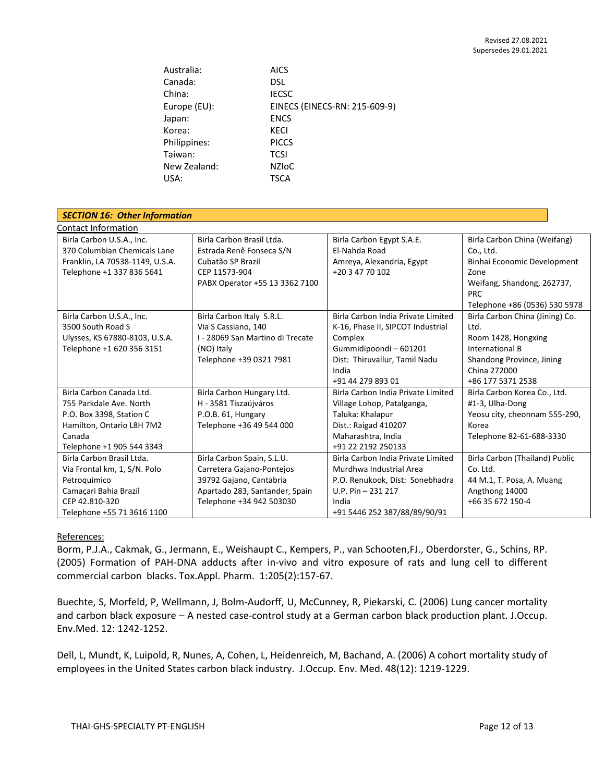| Australia:   | <b>AICS</b>                   |
|--------------|-------------------------------|
| Canada:      | <b>DSL</b>                    |
| China:       | <b>IECSC</b>                  |
| Europe (EU): | EINECS (EINECS-RN: 215-609-9) |
| Japan:       | <b>ENCS</b>                   |
| Korea:       | <b>KECI</b>                   |
| Philippines: | <b>PICCS</b>                  |
| Taiwan:      | <b>TCSI</b>                   |
| New Zealand: | NZIOC                         |
| USA:         | <b>TSCA</b>                   |

| <b>SECTION 16: Other Information</b> |                                  |                                    |                                 |  |  |
|--------------------------------------|----------------------------------|------------------------------------|---------------------------------|--|--|
| Contact Information                  |                                  |                                    |                                 |  |  |
| Birla Carbon U.S.A., Inc.            | Birla Carbon Brasil Ltda.        | Birla Carbon Egypt S.A.E.          | Birla Carbon China (Weifang)    |  |  |
| 370 Columbian Chemicals Lane         | Estrada Renê Fonseca S/N         | El-Nahda Road                      | Co., Ltd.                       |  |  |
| Franklin, LA 70538-1149, U.S.A.      | Cubatão SP Brazil                | Amreya, Alexandria, Egypt          | Binhai Economic Development     |  |  |
| Telephone +1 337 836 5641            | CEP 11573-904                    | +20 3 47 70 102                    | Zone                            |  |  |
|                                      | PABX Operator +55 13 3362 7100   |                                    | Weifang, Shandong, 262737,      |  |  |
|                                      |                                  |                                    | <b>PRC</b>                      |  |  |
|                                      |                                  |                                    | Telephone +86 (0536) 530 5978   |  |  |
| Birla Carbon U.S.A., Inc.            | Birla Carbon Italy S.R.L.        | Birla Carbon India Private Limited | Birla Carbon China (Jining) Co. |  |  |
| 3500 South Road S                    | Via S Cassiano, 140              | K-16, Phase II, SIPCOT Industrial  | Ltd.                            |  |  |
| Ulysses, KS 67880-8103, U.S.A.       | I - 28069 San Martino di Trecate | Complex                            | Room 1428, Hongxing             |  |  |
| Telephone +1 620 356 3151            | (NO) Italy                       | Gummidipoondi - 601201             | International B                 |  |  |
|                                      | Telephone +39 0321 7981          | Dist: Thiruvallur, Tamil Nadu      | Shandong Province, Jining       |  |  |
|                                      |                                  | India                              | China 272000                    |  |  |
|                                      |                                  | +91 44 279 893 01                  | +86 177 5371 2538               |  |  |
| Birla Carbon Canada Ltd.             | Birla Carbon Hungary Ltd.        | Birla Carbon India Private Limited | Birla Carbon Korea Co., Ltd.    |  |  |
| 755 Parkdale Ave, North              | H - 3581 Tiszaújváros            | Village Lohop, Patalganga,         | #1-3, Ulha-Dong                 |  |  |
| P.O. Box 3398, Station C             | P.O.B. 61, Hungary               | Taluka: Khalapur                   | Yeosu city, cheonnam 555-290,   |  |  |
| Hamilton, Ontario L8H 7M2            | Telephone +36 49 544 000         | Dist.: Raigad 410207               | Korea                           |  |  |
| Canada                               |                                  | Maharashtra, India                 | Telephone 82-61-688-3330        |  |  |
| Telephone +1 905 544 3343            |                                  | +91 22 2192 250133                 |                                 |  |  |
| Birla Carbon Brasil Ltda.            | Birla Carbon Spain, S.L.U.       | Birla Carbon India Private Limited | Birla Carbon (Thailand) Public  |  |  |
| Via Frontal km, 1, S/N. Polo         | Carretera Gajano-Pontejos        | Murdhwa Industrial Area            | Co. Ltd.                        |  |  |
| Petroquimico                         | 39792 Gajano, Cantabria          | P.O. Renukook, Dist: Sonebhadra    | 44 M.1, T. Posa, A. Muang       |  |  |
| Camaçari Bahia Brazil                | Apartado 283, Santander, Spain   | $U.P. Pin - 231 217$               | Angthong 14000                  |  |  |
| CEP 42.810-320                       | Telephone +34 942 503030         | India                              | +66 35 672 150-4                |  |  |
| Telephone +55 71 3616 1100           |                                  | +91 5446 252 387/88/89/90/91       |                                 |  |  |

# References:

Borm, P.J.A., Cakmak, G., Jermann, E., Weishaupt C., Kempers, P., van Schooten,FJ., Oberdorster, G., Schins, RP. (2005) Formation of PAH-DNA adducts after in-vivo and vitro exposure of rats and lung cell to different commercial carbon blacks. Tox.Appl. Pharm. 1:205(2):157-67.

Buechte, S, Morfeld, P, Wellmann, J, Bolm-Audorff, U, McCunney, R, Piekarski, C. (2006) Lung cancer mortality and carbon black exposure – A nested case-control study at a German carbon black production plant. J.Occup. Env.Med. 12: 1242-1252.

Dell, L, Mundt, K, Luipold, R, Nunes, A, Cohen, L, Heidenreich, M, Bachand, A. (2006) A cohort mortality study of employees in the United States carbon black industry. J.Occup. Env. Med. 48(12): 1219-1229.